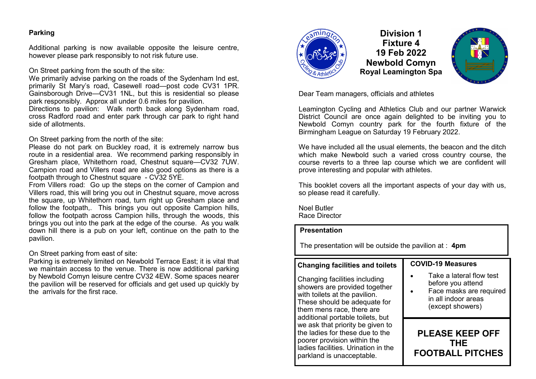#### **Parking**

Additional parking is now available opposite the leisure centre, however please park responsibly to not risk future use.

On Street parking from the south of the site:

We primarily advise parking on the roads of the Sydenham Ind est, primarily St Mary's road, Casewell road—post code CV31 1PR. Gainsborough Drive—CV31 1NL, but this is residential so please park responsibly. Approx all under 0.6 miles for pavilion.

Directions to pavilion: Walk north back along Sydenham road, cross Radford road and enter park through car park to right hand side of allotments.

On Street parking from the north of the site:

Please do not park on Buckley road, it is extremely narrow bus route in a residential area. We recommend parking responsibly in Gresham place, Whitethorn road, Chestnut square—CV32 7UW. Campion road and Villers road are also good options as there is a footpath through to Chestnut square - CV32 5YE.

From Villers road: Go up the steps on the corner of Campion and Villers road, this will bring you out in Chestnut square, move across the square, up Whitethorn road, turn right up Gresham place and follow the footpath,. This brings you out opposite Campion hills, follow the footpath across Campion hills, through the woods, this brings you out into the park at the edge of the course. As you walk down hill there is a pub on your left, continue on the path to the pavilion.

On Street parking from east of site:

Parking is extremely limited on Newbold Terrace East; it is vital that we maintain access to the venue. There is now additional parking by Newbold Comyn leisure centre CV32 4EW. Some spaces nearer the pavilion will be reserved for officials and get used up quickly by the arrivals for the first race.



**Division 1 Fixture 4 19 Feb 2022 Newbold Comyn Royal Leamington Spa**



Dear Team managers, officials and athletes

Leamington Cycling and Athletics Club and our partner Warwick District Council are once again delighted to be inviting you to Newbold Comyn country park for the fourth fixture of the Birmingham League on Saturday 19 February 2022.

We have included all the usual elements, the beacon and the ditch which make Newbold such a varied cross country course, the course reverts to a three lap course which we are confident will prove interesting and popular with athletes.

This booklet covers all the important aspects of your day with us, so please read it carefully.

Noel Butler Race Director

### **Presentation**

The presentation will be outside the pavilion at : **4pm**

### **Changing facilities and toilets**

Changing facilities including showers are provided together with toilets at the pavilion. These should be adequate for them mens race, there are additional portable toilets, but we ask that priority be given to the ladies for these due to the poorer provision within the ladies facilities. Urination in the parkland is unacceptable.

#### **COVID-19 Measures**

- Take a lateral flow test before you attend
- Face masks are required in all indoor areas (except showers)

**PLEASE KEEP OFF THE FOOTBALL PITCHES**